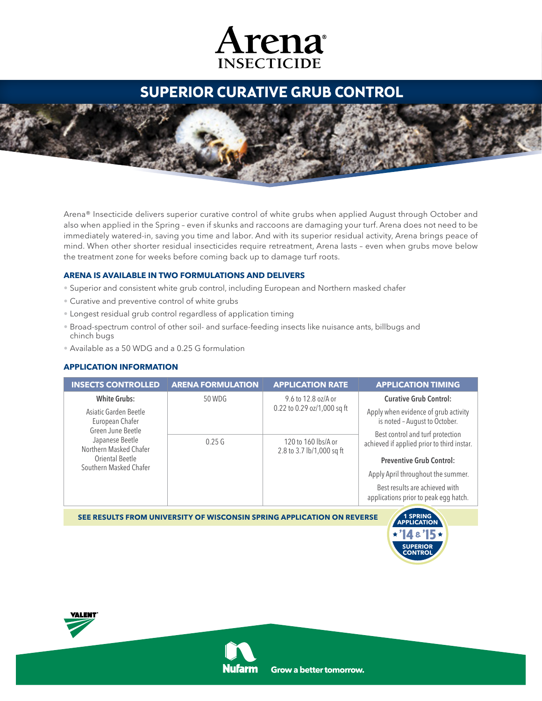## Arena **INSECTICIDE**

## **superior curative grub control**

Arena® Insecticide delivers superior curative control of white grubs when applied August through October and also when applied in the Spring – even if skunks and raccoons are damaging your turf. Arena does not need to be immediately watered-in, saving you time and labor. And with its superior residual activity, Arena brings peace of mind. When other shorter residual insecticides require retreatment, Arena lasts – even when grubs move below the treatment zone for weeks before coming back up to damage turf roots.

## **Arena is available in two formulations and delivers**

- Superior and consistent white grub control, including European and Northern masked chafer
- Curative and preventive control of white grubs
- Longest residual grub control regardless of application timing
- Broad-spectrum control of other soil- and surface-feeding insects like nuisance ants, billbugs and chinch bugs
- Available as a 50 WDG and a 0.25 G formulation

## **APPLICATION INFORMATION**

| <b>INSECTS CONTROLLED</b>                                                                                                                               | <b>ARENA FORMULATION</b> | <b>APPLICATION RATE</b>                            | <b>APPLICATION TIMING</b>                                                                                         |
|---------------------------------------------------------------------------------------------------------------------------------------------------------|--------------------------|----------------------------------------------------|-------------------------------------------------------------------------------------------------------------------|
| <b>White Grubs:</b>                                                                                                                                     | 50 WDG                   | 9.6 to 12.8 oz/A or<br>0.22 to 0.29 oz/1,000 sq ft | <b>Curative Grub Control:</b>                                                                                     |
| Asiatic Garden Beetle<br>European Chafer<br>Green June Beetle<br>Japanese Beetle<br>Northern Masked Chafer<br>Oriental Beetle<br>Southern Masked Chafer |                          |                                                    | Apply when evidence of grub activity<br>is noted - August to October.                                             |
|                                                                                                                                                         | 0.25G                    | 120 to 160 lbs/A or<br>2.8 to 3.7 lb/1,000 sq ft   | Best control and turf protection<br>achieved if applied prior to third instar.<br><b>Preventive Grub Control:</b> |
|                                                                                                                                                         |                          |                                                    | Apply April throughout the summer.                                                                                |
|                                                                                                                                                         |                          |                                                    | Best results are achieved with<br>applications prior to peak egg hatch.                                           |

**SEe results from university of wisconsin spring application on reverse**